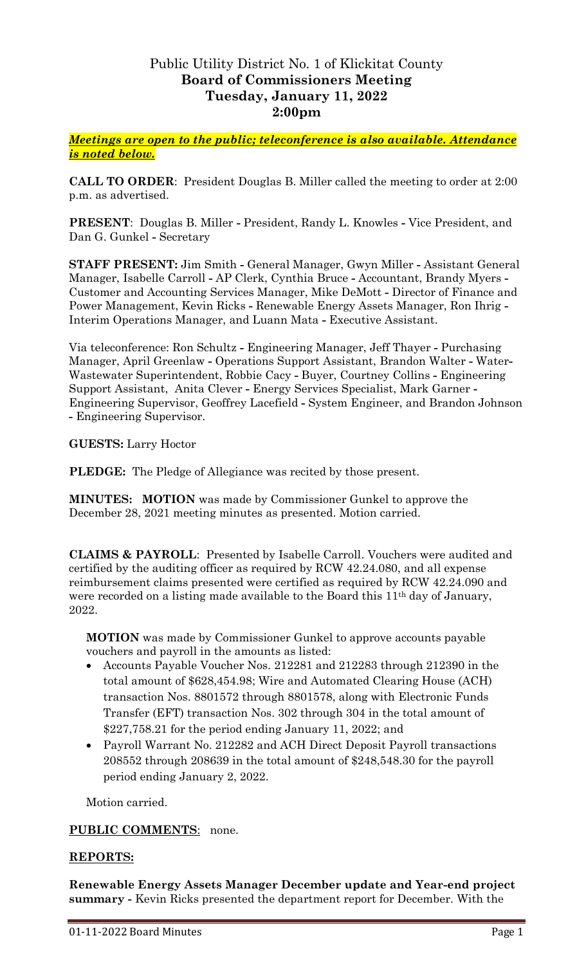# Public Utility District No. 1 of Klickitat County **Board of Commissioners Meeting Tuesday, January 11, 2022 2:00pm**

*Meetings are open to the public; teleconference is also available. Attendance is noted below.*

**CALL TO ORDER**: President Douglas B. Miller called the meeting to order at 2:00 p.m. as advertised.

**PRESENT**: Douglas B. Miller **-** President, Randy L. Knowles **-** Vice President, and Dan G. Gunkel **-** Secretary

**STAFF PRESENT:** Jim Smith **-** General Manager, Gwyn Miller **-** Assistant General Manager, Isabelle Carroll **-** AP Clerk, Cynthia Bruce **-** Accountant, Brandy Myers **-** Customer and Accounting Services Manager, Mike DeMott **-** Director of Finance and Power Management, Kevin Ricks **-** Renewable Energy Assets Manager, Ron Ihrig **-** Interim Operations Manager, and Luann Mata **-** Executive Assistant.

Via teleconference: Ron Schultz **-** Engineering Manager, Jeff Thayer **-** Purchasing Manager, April Greenlaw **-** Operations Support Assistant, Brandon Walter **-** Water**-**Wastewater Superintendent, Robbie Cacy **-** Buyer, Courtney Collins **-** Engineering Support Assistant, Anita Clever **-** Energy Services Specialist, Mark Garner **-** Engineering Supervisor, Geoffrey Lacefield **-** System Engineer, and Brandon Johnson **-** Engineering Supervisor.

**GUESTS:** Larry Hoctor

**PLEDGE:** The Pledge of Allegiance was recited by those present.

**MINUTES: MOTION** was made by Commissioner Gunkel to approve the December 28, 2021 meeting minutes as presented. Motion carried.

**CLAIMS & PAYROLL**: Presented by Isabelle Carroll. Vouchers were audited and certified by the auditing officer as required by RCW 42.24.080, and all expense reimbursement claims presented were certified as required by RCW 42.24.090 and were recorded on a listing made available to the Board this 11<sup>th</sup> day of January, 2022.

**MOTION** was made by Commissioner Gunkel to approve accounts payable vouchers and payroll in the amounts as listed:

- Accounts Payable Voucher Nos. 212281 and 212283 through 212390 in the total amount of \$628,454.98; Wire and Automated Clearing House (ACH) transaction Nos. 8801572 through 8801578, along with Electronic Funds Transfer (EFT) transaction Nos. 302 through 304 in the total amount of \$227,758.21 for the period ending January 11, 2022; and
- Payroll Warrant No. 212282 and ACH Direct Deposit Payroll transactions 208552 through 208639 in the total amount of \$248,548.30 for the payroll period ending January 2, 2022.

Motion carried.

# **PUBLIC COMMENTS**: none.

#### **REPORTS:**

**Renewable Energy Assets Manager December update and Year-end project summary -** Kevin Ricks presented the department report for December. With the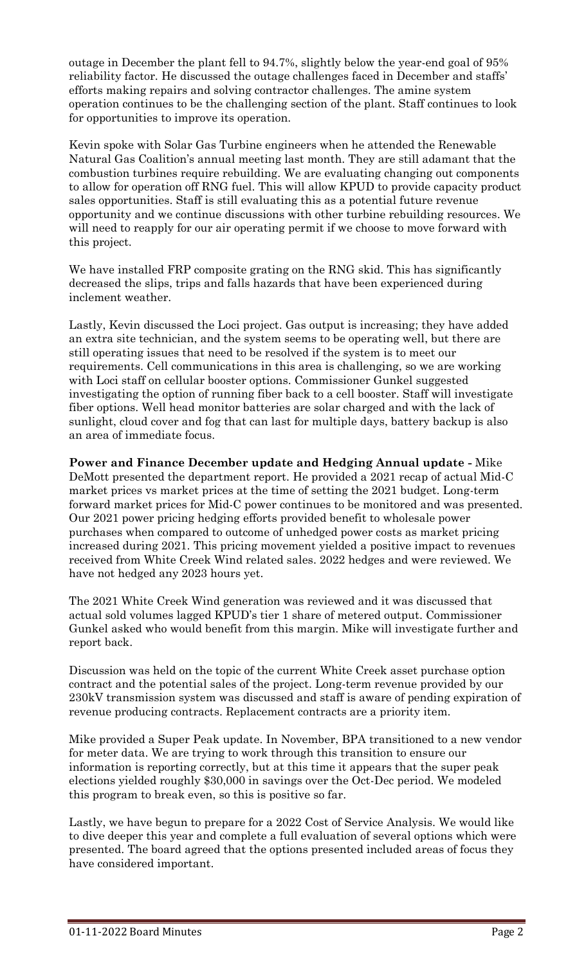outage in December the plant fell to 94.7%, slightly below the year-end goal of 95% reliability factor. He discussed the outage challenges faced in December and staffs' efforts making repairs and solving contractor challenges. The amine system operation continues to be the challenging section of the plant. Staff continues to look for opportunities to improve its operation.

Kevin spoke with Solar Gas Turbine engineers when he attended the Renewable Natural Gas Coalition's annual meeting last month. They are still adamant that the combustion turbines require rebuilding. We are evaluating changing out components to allow for operation off RNG fuel. This will allow KPUD to provide capacity product sales opportunities. Staff is still evaluating this as a potential future revenue opportunity and we continue discussions with other turbine rebuilding resources. We will need to reapply for our air operating permit if we choose to move forward with this project.

We have installed FRP composite grating on the RNG skid. This has significantly decreased the slips, trips and falls hazards that have been experienced during inclement weather.

Lastly, Kevin discussed the Loci project. Gas output is increasing; they have added an extra site technician, and the system seems to be operating well, but there are still operating issues that need to be resolved if the system is to meet our requirements. Cell communications in this area is challenging, so we are working with Loci staff on cellular booster options. Commissioner Gunkel suggested investigating the option of running fiber back to a cell booster. Staff will investigate fiber options. Well head monitor batteries are solar charged and with the lack of sunlight, cloud cover and fog that can last for multiple days, battery backup is also an area of immediate focus.

**Power and Finance December update and Hedging Annual update -** Mike DeMott presented the department report. He provided a 2021 recap of actual Mid-C market prices vs market prices at the time of setting the 2021 budget. Long-term forward market prices for Mid-C power continues to be monitored and was presented. Our 2021 power pricing hedging efforts provided benefit to wholesale power purchases when compared to outcome of unhedged power costs as market pricing increased during 2021. This pricing movement yielded a positive impact to revenues received from White Creek Wind related sales. 2022 hedges and were reviewed. We have not hedged any 2023 hours yet.

The 2021 White Creek Wind generation was reviewed and it was discussed that actual sold volumes lagged KPUD's tier 1 share of metered output. Commissioner Gunkel asked who would benefit from this margin. Mike will investigate further and report back.

Discussion was held on the topic of the current White Creek asset purchase option contract and the potential sales of the project. Long-term revenue provided by our 230kV transmission system was discussed and staff is aware of pending expiration of revenue producing contracts. Replacement contracts are a priority item.

Mike provided a Super Peak update. In November, BPA transitioned to a new vendor for meter data. We are trying to work through this transition to ensure our information is reporting correctly, but at this time it appears that the super peak elections yielded roughly \$30,000 in savings over the Oct-Dec period. We modeled this program to break even, so this is positive so far.

Lastly, we have begun to prepare for a 2022 Cost of Service Analysis. We would like to dive deeper this year and complete a full evaluation of several options which were presented. The board agreed that the options presented included areas of focus they have considered important.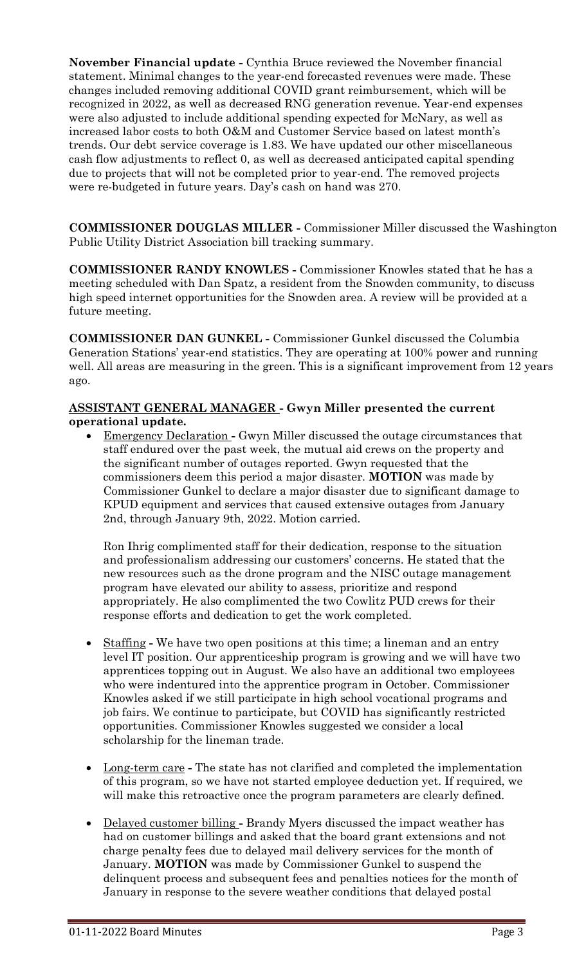**November Financial update -** Cynthia Bruce reviewed the November financial statement. Minimal changes to the year-end forecasted revenues were made. These changes included removing additional COVID grant reimbursement, which will be recognized in 2022, as well as decreased RNG generation revenue. Year-end expenses were also adjusted to include additional spending expected for McNary, as well as increased labor costs to both O&M and Customer Service based on latest month's trends. Our debt service coverage is 1.83. We have updated our other miscellaneous cash flow adjustments to reflect 0, as well as decreased anticipated capital spending due to projects that will not be completed prior to year-end. The removed projects were re-budgeted in future years. Day's cash on hand was 270.

**COMMISSIONER DOUGLAS MILLER -** Commissioner Miller discussed the Washington Public Utility District Association bill tracking summary.

**COMMISSIONER RANDY KNOWLES -** Commissioner Knowles stated that he has a meeting scheduled with Dan Spatz, a resident from the Snowden community, to discuss high speed internet opportunities for the Snowden area. A review will be provided at a future meeting.

**COMMISSIONER DAN GUNKEL -** Commissioner Gunkel discussed the Columbia Generation Stations' year-end statistics. They are operating at 100% power and running well. All areas are measuring in the green. This is a significant improvement from 12 years ago.

# **ASSISTANT GENERAL MANAGER - Gwyn Miller presented the current operational update.**

 Emergency Declaration **-** Gwyn Miller discussed the outage circumstances that staff endured over the past week, the mutual aid crews on the property and the significant number of outages reported. Gwyn requested that the commissioners deem this period a major disaster. **MOTION** was made by Commissioner Gunkel to declare a major disaster due to significant damage to KPUD equipment and services that caused extensive outages from January 2nd, through January 9th, 2022. Motion carried.

Ron Ihrig complimented staff for their dedication, response to the situation and professionalism addressing our customers' concerns. He stated that the new resources such as the drone program and the NISC outage management program have elevated our ability to assess, prioritize and respond appropriately. He also complimented the two Cowlitz PUD crews for their response efforts and dedication to get the work completed.

- Staffing **-** We have two open positions at this time; a lineman and an entry level IT position. Our apprenticeship program is growing and we will have two apprentices topping out in August. We also have an additional two employees who were indentured into the apprentice program in October. Commissioner Knowles asked if we still participate in high school vocational programs and job fairs. We continue to participate, but COVID has significantly restricted opportunities. Commissioner Knowles suggested we consider a local scholarship for the lineman trade.
- Long-term care **-** The state has not clarified and completed the implementation of this program, so we have not started employee deduction yet. If required, we will make this retroactive once the program parameters are clearly defined.
- Delayed customer billing **-** Brandy Myers discussed the impact weather has had on customer billings and asked that the board grant extensions and not charge penalty fees due to delayed mail delivery services for the month of January. **MOTION** was made by Commissioner Gunkel to suspend the delinquent process and subsequent fees and penalties notices for the month of January in response to the severe weather conditions that delayed postal